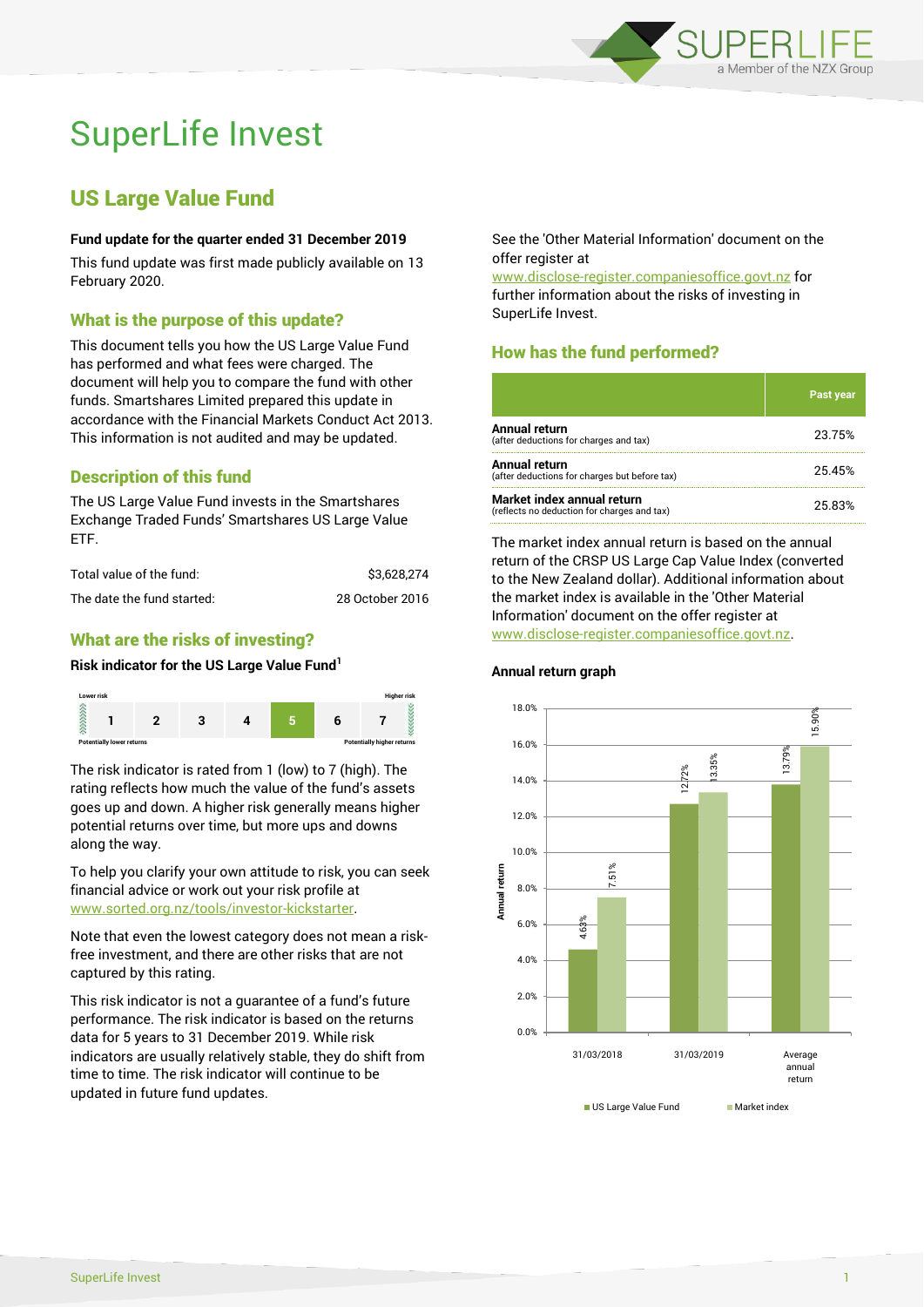

# SuperLife Invest

## US Large Value Fund

#### **Fund update for the quarter ended 31 December 2019**

This fund update was first made publicly available on 13 February 2020.

### What is the purpose of this update?

This document tells you how the US Large Value Fund has performed and what fees were charged. The document will help you to compare the fund with other funds. Smartshares Limited prepared this update in accordance with the Financial Markets Conduct Act 2013. This information is not audited and may be updated.

## Description of this fund

The US Large Value Fund invests in the Smartshares Exchange Traded Funds' Smartshares US Large Value ETF.

| Total value of the fund:   | \$3.628.274     |
|----------------------------|-----------------|
| The date the fund started: | 28 October 2016 |

## What are the risks of investing?

#### **Risk indicator for the US Large Value Fund<sup>1</sup>**



The risk indicator is rated from 1 (low) to 7 (high). The rating reflects how much the value of the fund's assets goes up and down. A higher risk generally means higher potential returns over time, but more ups and downs along the way.

To help you clarify your own attitude to risk, you can seek financial advice or work out your risk profile at [www.sorted.org.nz/tools/investor-kickstarter.](http://www.sorted.org.nz/tools/investor-kickstarter)

Note that even the lowest category does not mean a riskfree investment, and there are other risks that are not captured by this rating.

This risk indicator is not a guarantee of a fund's future performance. The risk indicator is based on the returns data for 5 years to 31 December 2019. While risk indicators are usually relatively stable, they do shift from time to time. The risk indicator will continue to be updated in future fund updates.

See the 'Other Material Information' document on the offer register at

www.disclose-register.companiesoffice.govt.nz for further information about the risks of investing in SuperLife Invest.

## How has the fund performed?

|                                                                           | Past year |
|---------------------------------------------------------------------------|-----------|
| Annual return<br>(after deductions for charges and tax)                   | 23.75%    |
| Annual return<br>(after deductions for charges but before tax)            | 25.45%    |
| Market index annual return<br>(reflects no deduction for charges and tax) | 25.83%    |

The market index annual return is based on the annual return of the CRSP US Large Cap Value Index (converted to the New Zealand dollar). Additional information about the market index is available in the 'Other Material Information' document on the offer register at www.disclose-register.companiesoffice.govt.nz.



#### **Annual return graph**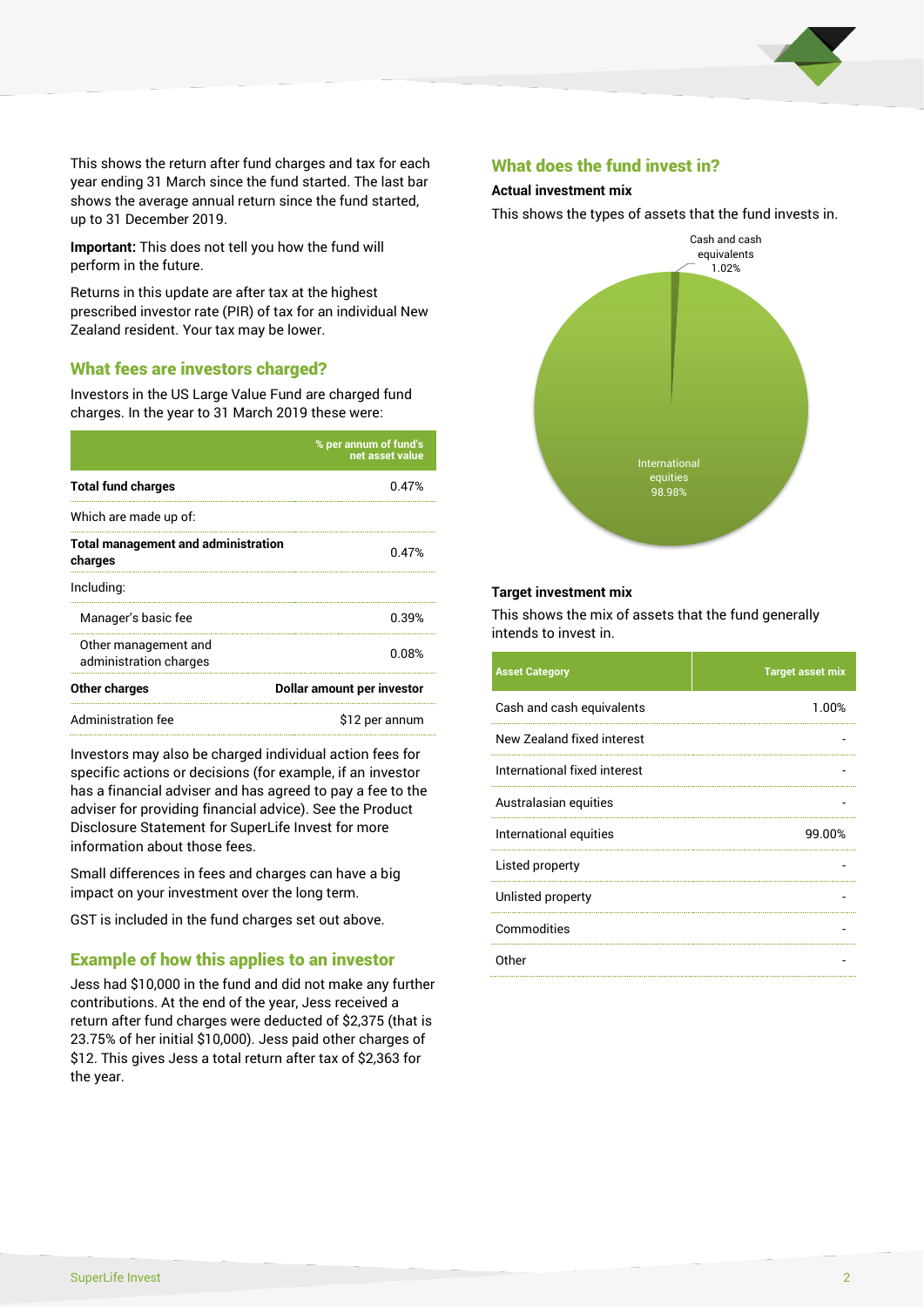

This shows the return after fund charges and tax for each year ending 31 March since the fund started. The last bar shows the average annual return since the fund started, up to 31 December 2019.

**Important:** This does not tell you how the fund will perform in the future.

Returns in this update are after tax at the highest prescribed investor rate (PIR) of tax for an individual New Zealand resident. Your tax may be lower.

#### What fees are investors charged?

Investors in the US Large Value Fund are charged fund charges. In the year to 31 March 2019 these were:

|                                                       | % per annum of fund's<br>net asset value |  |
|-------------------------------------------------------|------------------------------------------|--|
| <b>Total fund charges</b>                             | 0.47%                                    |  |
| Which are made up of:                                 |                                          |  |
| <b>Total management and administration</b><br>charges | 0.47%                                    |  |
| Including:                                            |                                          |  |
| Manager's basic fee                                   | 0.39%                                    |  |
| Other management and<br>administration charges        | 0.08%                                    |  |
| Other charges                                         | Dollar amount per investor               |  |
| Administration fee                                    | \$12 per annum                           |  |

Investors may also be charged individual action fees for specific actions or decisions (for example, if an investor has a financial adviser and has agreed to pay a fee to the adviser for providing financial advice). See the Product Disclosure Statement for SuperLife Invest for more information about those fees.

Small differences in fees and charges can have a big impact on your investment over the long term.

GST is included in the fund charges set out above.

#### Example of how this applies to an investor

Jess had \$10,000 in the fund and did not make any further contributions. At the end of the year, Jess received a return after fund charges were deducted of \$2,375 (that is 23.75% of her initial \$10,000). Jess paid other charges of \$12. This gives Jess a total return after tax of \$2,363 for the year.

#### What does the fund invest in?

#### **Actual investment mix**

This shows the types of assets that the fund invests in.



#### **Target investment mix**

This shows the mix of assets that the fund generally intends to invest in.

| <b>Asset Category</b>        | <b>Target asset mix</b> |
|------------------------------|-------------------------|
| Cash and cash equivalents    | 1.00%                   |
| New Zealand fixed interest   |                         |
| International fixed interest |                         |
| Australasian equities        |                         |
| International equities       | 99.00%                  |
| Listed property              |                         |
| Unlisted property            |                         |
| Commodities                  |                         |
| Other                        |                         |